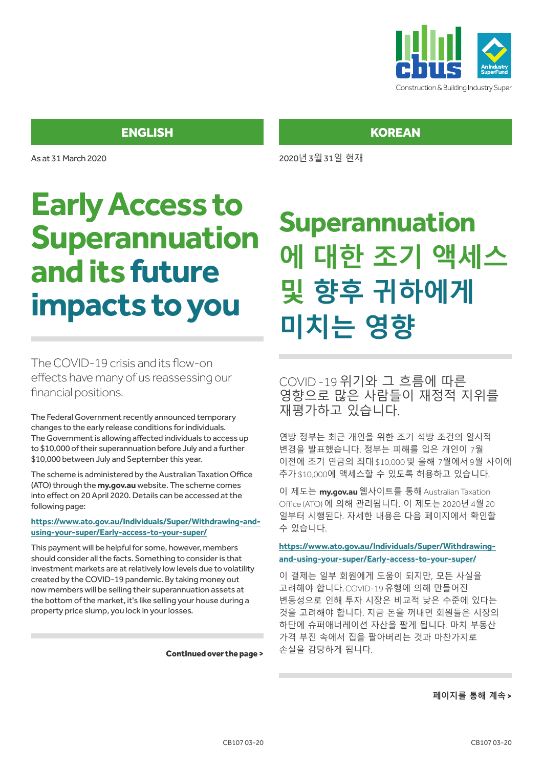

As at 31 March 2020

# **Early Access to Superannuation and its future impacts to you**

The COVID-19 crisis and its flow-on effects have many of us reassessing our financial positions.

The Federal Government recently announced temporary changes to the early release conditions for individuals. The Government is allowing affected individuals to access up to \$10,000 of their superannuation before July and a further \$10,000 between July and September this year.

The scheme is administered by the Australian Taxation Office (ATO) through the **my.gov.au** website. The scheme comes into effect on 20 April 2020. Details can be accessed at the following page:

#### **https://www.ato.gov.au/Individuals/Super/Withdrawing-andusing-your-super/Early-access-to-your-super/**

This payment will be helpful for some, however, members should consider all the facts. Something to consider is that investment markets are at relatively low levels due to volatility created by the COVID-19 pandemic. By taking money out now members will be selling their superannuation assets at the bottom of the market, it's like selling your house during a property price slump, you lock in your losses.

Continued over the page >

## **KOREAN**

2020년 3월 31일 현재

# **Superannuation 에 대한 조기 액세스 및 향후 귀하에게 미치는 영향**

COVID -19 위기와 그 흐름에 따른 영향으로 많은 사람들이 재정적 지위를 재평가하고 있습니다.

연방 정부는 최근 개인을 위한 조기 석방 조건의 일시적 변경을 발표했습니다. 정부는 피해를 입은 개인이 7월 이전에 초기 연금의 최대 \$10,000 및 올해 7월에서 9월 사이에 추가 \$10,000에 액세스할 수 있도록 허용하고 있습니다.

이 제도는 **my.gov.au**웹사이트를 통해 Australian Taxation Office (ATO) 에 의해 관리됩니다. 이 제도는 2020년 4월 20 일부터 시행된다. 자세한 내용은 다음 페이지에서 확인할 수 있습니다.

**https://www.ato.gov.au/Individuals/Super/Withdrawingand-using-your-super/Early-access-to-your-super/**

이 결제는 일부 회원에게 도움이 되지만, 모든 사실을 고려해야 합니다. COVID-19 유행에 의해 만들어진 변동성으로 인해 투자 시장은 비교적 낮은 수준에 있다는 것을 고려해야 합니다. 지금 돈을 꺼내면 회원들은 시장의 하단에 슈퍼애너레이션 자산을 팔게 됩니다. 마치 부동산 가격 부진 속에서 집을 팔아버리는 것과 마찬가지로 손실을 감당하게 됩니다.

#### **페이지를 통해 계속** >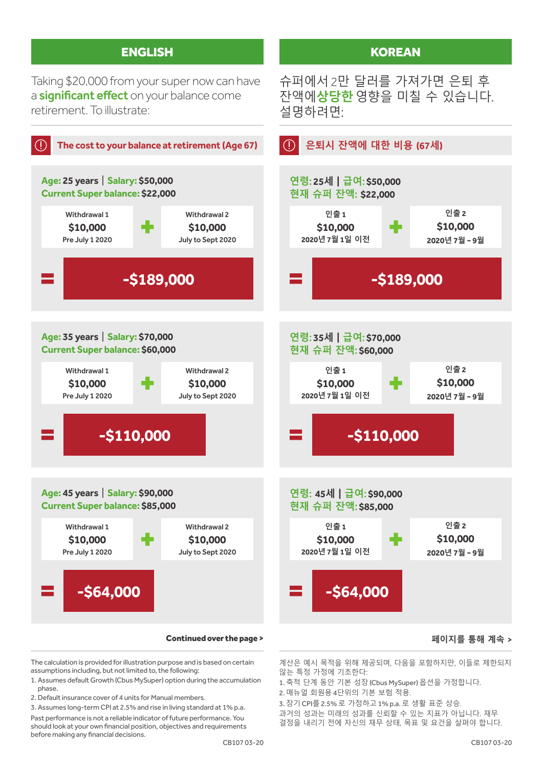Taking \$20,000 from your super now can have a **significant effect** on your balance come retirement. To illustrate:



The calculation is provided for illustration purpose and is based on certain assumptions including, but not limited to, the following:

- 1. Assumes default Growth (Cbus MySuper) option during the accumulation phase.
- 2. Default insurance cover of 4 units for Manual members.

3. Assumes long-term CPI at 2.5% and rise in living standard at 1% p.a. Past performance is not a reliable indicator of future performance. You should look at your own financial position, objectives and requirements before making any financial decisions.

CB107 03-20

계산은 예시 목적을 위해 제공되며, 다음을 포함하지만, 이들로 제한되지

않는 특정 가정에 기초한다: 1. 축적 단계 동안 기본 성장 (Cbus MySuper) 옵션을 가정합니다.

슈퍼에서 2만 달러를 가져가면 은퇴 후 잔액에**상당한**영향을 미칠 수 있습니다.

**KOREAN** 

설명하려면:

- 
- 2. 매뉴얼 회원용 4단위의 기본 보험 적용.

3. 장기 CPI를 2.5% 로 가정하고 1% p.a. 로 생활 표준 상승.

과거의 성과는 미래의 성과를 신뢰할 수 있는 지표가 아닙니다. 재무 결정을 내리기 전에 자신의 재무 상태, 목표 및 요건을 살펴야 합니다.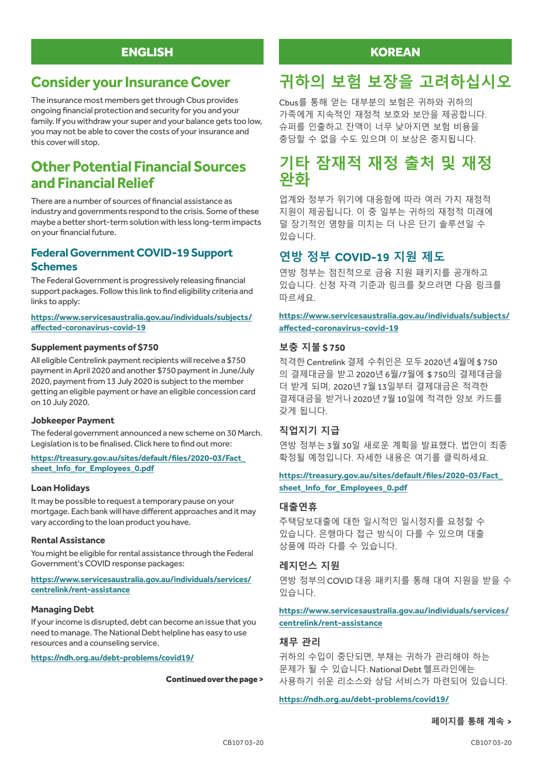## **Consider your Insurance Cover**

The insurance most members get through Cbus provides ongoing financial protection and security for you and your family. If you withdraw your super and your balance gets too low, you may not be able to cover the costs of your insurance and this cover will stop.

## **Other Potential Financial Sources and Financial Relief**

There are a number of sources of financial assistance as industry and governments respond to the crisis. Some of these maybe a better short-term solution with less long-term impacts on your financial future.

#### **Federal Government COVID-19 Support Schemes**

The Federal Government is progressively releasing financial support packages. Follow this link to find eligibility criteria and links to apply:

#### **https://www.servicesaustralia.gov.au/individuals/subjects/ affected-coronavirus-covid-19**

#### **Supplement payments of \$750**

All eligible Centrelink payment recipients will receive a \$750 payment in April 2020 and another \$750 payment in June/July 2020, payment from 13 July 2020 is subject to the member getting an eligible payment or have an eligible concession card on 10 July 2020.

#### **Jobkeeper Payment**

The federal government announced a new scheme on 30 March. Legislation is to be finalised. Click here to find out more:

#### **https://treasury.gov.au/sites/default/files/2020-03/Fact\_ sheet\_Info\_for\_Employees\_0.pdf**

#### **Loan Holidays**

It may be possible to request a temporary pause on your mortgage. Each bank will have different approaches and it may vary according to the loan product you have.

#### **Rental Assistance**

You might be eligible for rental assistance through the Federal Government's COVID response packages:

#### **https://www.servicesaustralia.gov.au/individuals/services/ centrelink/rent-assistance**

#### **Managing Debt**

If your income is disrupted, debt can become an issue that you need to manage. The National Debt helpline has easy to use resources and a counseling service.

**https://ndh.org.au/debt-problems/covid19/**

#### Continued over the page >

### **KOREAN**

# **귀하의 보험 보장을 고려하십시오**

Cbus를 통해 얻는 대부분의 보험은 귀하와 귀하의 가족에게 지속적인 재정적 보호와 보안을 제공합니다. 슈퍼를 인출하고 잔액이 너무 낮아지면 보험 비용을 충당할 수 없을 수도 있으며 이 보상은 중지됩니다.

## **기타 잠재적 재정 출처 및 재정 완화**

업계와 정부가 위기에 대응함에 따라 여러 가지 재정적 지원이 제공됩니다. 이 중 일부는 귀하의 재정적 미래에 덜 장기적인 영향을 미치는 더 나은 단기 솔루션일 수 있습니다.

### **연방 정부 COVID-19 지원 제도**

연방 정부는 점진적으로 금융 지원 패키지를 공개하고 있습니다. 신청 자격 기준과 링크를 찾으려면 다음 링크를 따르세요.

**https://www.servicesaustralia.gov.au/individuals/subjects/ affected-coronavirus-covid-19**

#### **보충 지불 \$ 750**

적격한 Centrelink 결제 수취인은 모두 2020년 4월에 \$ 750 의 결제대금을 받고 2020년 6월/7월에 \$ 750의 결제대금을 더 받게 되며, 2020년 7월 13일부터 결제대금은 적격한 결제대금을 받거나 2020년 7월 10일에 적격한 양보 카드를 갖게 됩니다.

#### **직업지기 지급**

연방 정부는 3월 30일 새로운 계획을 발표했다. 법안이 최종 확정될 예정입니다. 자세한 내용은 여기를 클릭하세요.

#### **https://treasury.gov.au/sites/default/files/2020-03/Fact\_ sheet\_Info\_for\_Employees\_0.pdf**

#### **대출연휴**

주택담보대출에 대한 일시적인 일시정지를 요청할 수 있습니다. 은행마다 접근 방식이 다를 수 있으며 대출 상품에 따라 다를 수 있습니다.

#### **레지던스 지원**

연방 정부의 COVID 대응 패키지를 통해 대여 지원을 받을 수 있습니다.

#### **https://www.servicesaustralia.gov.au/individuals/services/ centrelink/rent-assistance**

#### **채무 관리**

귀하의 수입이 중단되면, 부채는 귀하가 관리해야 하는 문제가 될 수 있습니다. National Debt 헬프라인에는 사용하기 쉬운 리소스와 상담 서비스가 마련되어 있습니다.

#### **https://ndh.org.au/debt-problems/covid19/**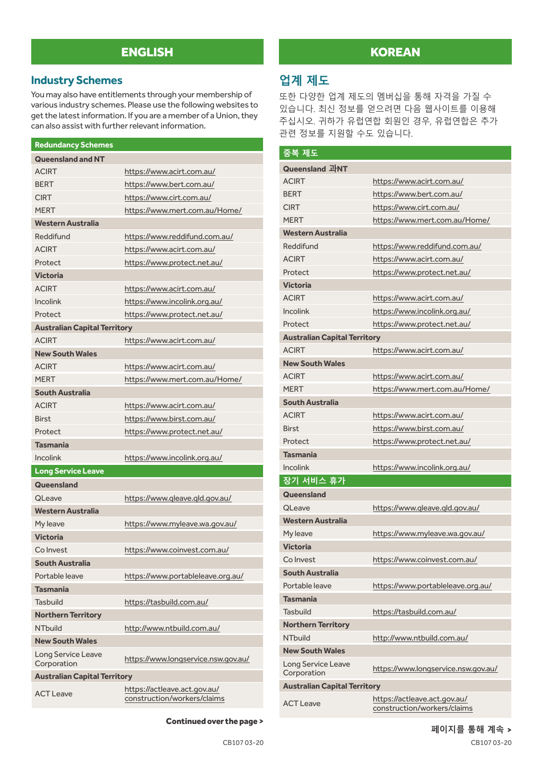#### **Industry Schemes**

You may also have entitlements through your membership of various industry schemes. Please use the following websites to get the latest information. If you are a member of a Union, they can also assist with further relevant information.

| <b>Redundancy Schemes</b>           |                                                             |  |
|-------------------------------------|-------------------------------------------------------------|--|
| <b>Queensland and NT</b>            |                                                             |  |
| <b>ACIRT</b>                        | https://www.acirt.com.au/                                   |  |
| <b>BERT</b>                         | https://www.bert.com.au/                                    |  |
| <b>CIRT</b>                         | https://www.cirt.com.au/                                    |  |
| <b>MERT</b>                         | https://www.mert.com.au/Home/                               |  |
| <b>Western Australia</b>            |                                                             |  |
| Reddifund                           | https://www.reddifund.com.au/                               |  |
| <b>ACIRT</b>                        | https://www.acirt.com.au/                                   |  |
| Protect                             | https://www.protect.net.au/                                 |  |
| <b>Victoria</b>                     |                                                             |  |
| <b>ACIRT</b>                        | https://www.acirt.com.au/                                   |  |
| <b>Incolink</b>                     | https://www.incolink.org.au/                                |  |
| Protect                             | https://www.protect.net.au/                                 |  |
| <b>Australian Capital Territory</b> |                                                             |  |
| <b>ACIRT</b>                        | https://www.acirt.com.au/                                   |  |
| <b>New South Wales</b>              |                                                             |  |
| <b>ACIRT</b>                        | https://www.acirt.com.au/                                   |  |
| <b>MFRT</b>                         | https://www.mert.com.au/Home/                               |  |
| <b>South Australia</b>              |                                                             |  |
| <b>ACIRT</b>                        | https://www.acirt.com.au/                                   |  |
| <b>Birst</b>                        | https://www.birst.com.au/                                   |  |
| Protect                             | https://www.protect.net.au/                                 |  |
| <b>Tasmania</b>                     |                                                             |  |
| <b>Incolink</b>                     | https://www.incolink.org.au/                                |  |
| Long Service Leave                  |                                                             |  |
| Queensland                          |                                                             |  |
| <b>QLeave</b>                       | https://www.gleave.gld.gov.au/                              |  |
| <b>Western Australia</b>            |                                                             |  |
| My leave                            | https://www.myleave.wa.gov.au/                              |  |
| <b>Victoria</b>                     |                                                             |  |
| Co Invest                           | https://www.coinvest.com.au/                                |  |
| South Australia                     |                                                             |  |
| Portable leave                      | https://www.portableleave.org.au/                           |  |
| <b>Tasmania</b>                     |                                                             |  |
| <b>Tasbuild</b>                     | https://tasbuild.com.au/                                    |  |
| <b>Northern Territory</b>           |                                                             |  |
| <b>NTbuild</b>                      | http://www.ntbuild.com.au/                                  |  |
| <b>New South Wales</b>              |                                                             |  |
| Long Service Leave<br>Corporation   | https://www.longservice.nsw.gov.au/                         |  |
| <b>Australian Capital Territory</b> |                                                             |  |
| <b>ACT Leave</b>                    | https://actleave.act.gov.au/<br>construction/workers/claims |  |

## **KOREAN**

## **업계 제도**

또한 다양한 업계 제도의 멤버십을 통해 자격을 가질 수 있습니다. 최신 정보를 얻으려면 다음 웹사이트를 이용해 주십시오. 귀하가 유럽연합 회원인 경우, 유럽연합은 추가 관련 정보를 지원할 수도 있습니다.

| 중복 제도                               |                                                             |  |
|-------------------------------------|-------------------------------------------------------------|--|
| Queensland 과NT                      |                                                             |  |
| <b>ACIRT</b>                        | https://www.acirt.com.au/                                   |  |
| <b>BFRT</b>                         | https://www.bert.com.au/                                    |  |
| <b>CIRT</b>                         | https://www.cirt.com.au/                                    |  |
| <b>MFRT</b>                         | https://www.mert.com.au/Home/                               |  |
| <b>Western Australia</b>            |                                                             |  |
| Reddifund                           | https://www.reddifund.com.au/                               |  |
| <b>ACIRT</b>                        | https://www.acirt.com.au/                                   |  |
| Protect                             | https://www.protect.net.au/                                 |  |
| <b>Victoria</b>                     |                                                             |  |
| <b>ACIRT</b>                        | https://www.acirt.com.au/                                   |  |
| <b>Incolink</b>                     | https://www.incolink.org.au/                                |  |
| Protect                             | https://www.protect.net.au/                                 |  |
| <b>Australian Capital Territory</b> |                                                             |  |
| <b>ACIRT</b>                        | https://www.acirt.com.au/                                   |  |
| <b>New South Wales</b>              |                                                             |  |
| <b>ACIRT</b>                        | https://www.acirt.com.au/                                   |  |
| <b>MFRT</b>                         | https://www.mert.com.au/Home/                               |  |
| <b>South Australia</b>              |                                                             |  |
| <b>ACIRT</b>                        | https://www.acirt.com.au/                                   |  |
| <b>Birst</b>                        | https://www.birst.com.au/                                   |  |
| Protect                             | https://www.protect.net.au/                                 |  |
| <b>Tasmania</b>                     |                                                             |  |
| <b>Incolink</b>                     | https://www.incolink.org.au/                                |  |
| 장기 서비스 휴가                           |                                                             |  |
| Queensland                          |                                                             |  |
| <b>QLeave</b>                       | https://www.gleave.gld.gov.au/                              |  |
| <b>Western Australia</b>            |                                                             |  |
| My leave                            | https://www.myleave.wa.gov.au/                              |  |
| <b>Victoria</b>                     |                                                             |  |
| Co Invest                           | https://www.coinvest.com.au/                                |  |
| <b>South Australia</b>              |                                                             |  |
| Portable leave                      | https://www.portableleave.org.au/                           |  |
| <b>Tasmania</b>                     |                                                             |  |
| Tasbuild                            | https://tasbuild.com.au/                                    |  |
| <b>Northern Territory</b>           |                                                             |  |
| NThuild                             | http://www.ntbuild.com.au/                                  |  |
| <b>New South Wales</b>              |                                                             |  |
| Long Service Leave<br>Corporation   | https://www.longservice.nsw.gov.au/                         |  |
| <b>Australian Capital Territory</b> |                                                             |  |
| <b>ACT Leave</b>                    | https://actleave.act.gov.au/<br>construction/workers/claims |  |